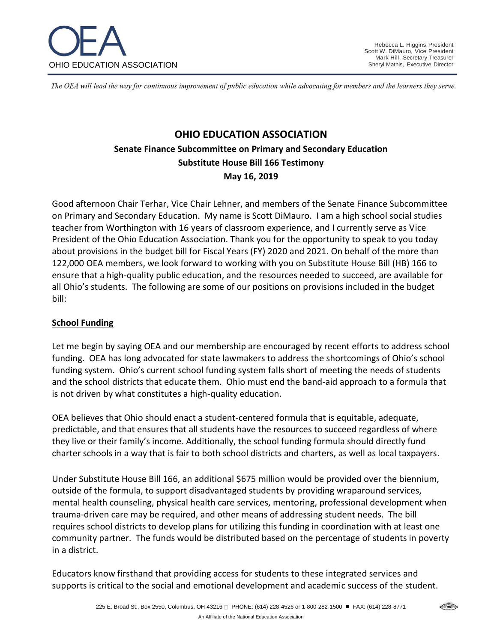

The OEA will lead the way for continuous improvement of public education while advocating for members and the learners they serve.

# **OHIO EDUCATION ASSOCIATION Senate Finance Subcommittee on Primary and Secondary Education Substitute House Bill 166 Testimony May 16, 2019**

Good afternoon Chair Terhar, Vice Chair Lehner, and members of the Senate Finance Subcommittee on Primary and Secondary Education. My name is Scott DiMauro. I am a high school social studies teacher from Worthington with 16 years of classroom experience, and I currently serve as Vice President of the Ohio Education Association. Thank you for the opportunity to speak to you today about provisions in the budget bill for Fiscal Years (FY) 2020 and 2021. On behalf of the more than 122,000 OEA members, we look forward to working with you on Substitute House Bill (HB) 166 to ensure that a high-quality public education, and the resources needed to succeed, are available for all Ohio's students. The following are some of our positions on provisions included in the budget bill:

#### **School Funding**

Let me begin by saying OEA and our membership are encouraged by recent efforts to address school funding. OEA has long advocated for state lawmakers to address the shortcomings of Ohio's school funding system. Ohio's current school funding system falls short of meeting the needs of students and the school districts that educate them. Ohio must end the band-aid approach to a formula that is not driven by what constitutes a high-quality education.

OEA believes that Ohio should enact a student-centered formula that is equitable, adequate, predictable, and that ensures that all students have the resources to succeed regardless of where they live or their family's income. Additionally, the school funding formula should directly fund charter schools in a way that is fair to both school districts and charters, as well as local taxpayers.

Under Substitute House Bill 166, an additional \$675 million would be provided over the biennium, outside of the formula, to support disadvantaged students by providing wraparound services, mental health counseling, physical health care services, mentoring, professional development when trauma-driven care may be required, and other means of addressing student needs. The bill requires school districts to develop plans for utilizing this funding in coordination with at least one community partner. The funds would be distributed based on the percentage of students in poverty in a district.

Educators know firsthand that providing access for students to these integrated services and supports is critical to the social and emotional development and academic success of the student.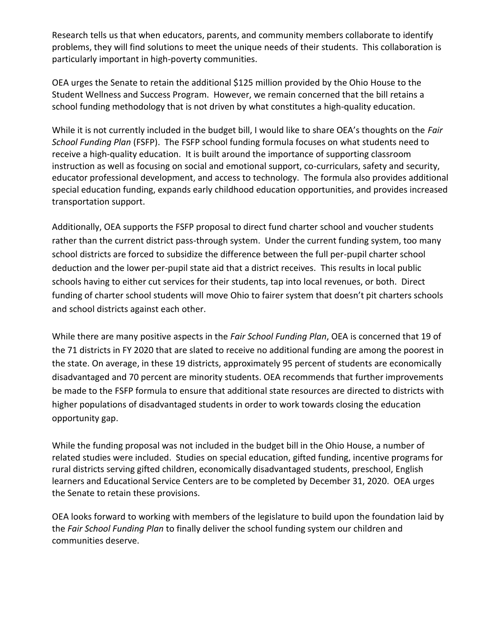Research tells us that when educators, parents, and community members collaborate to identify problems, they will find solutions to meet the unique needs of their students. This collaboration is particularly important in high-poverty communities.

OEA urges the Senate to retain the additional \$125 million provided by the Ohio House to the Student Wellness and Success Program. However, we remain concerned that the bill retains a school funding methodology that is not driven by what constitutes a high-quality education.

While it is not currently included in the budget bill, I would like to share OEA's thoughts on the *Fair School Funding Plan* (FSFP). The FSFP school funding formula focuses on what students need to receive a high-quality education. It is built around the importance of supporting classroom instruction as well as focusing on social and emotional support, co-curriculars, safety and security, educator professional development, and access to technology. The formula also provides additional special education funding, expands early childhood education opportunities, and provides increased transportation support.

Additionally, OEA supports the FSFP proposal to direct fund charter school and voucher students rather than the current district pass-through system. Under the current funding system, too many school districts are forced to subsidize the difference between the full per-pupil charter school deduction and the lower per-pupil state aid that a district receives. This results in local public schools having to either cut services for their students, tap into local revenues, or both. Direct funding of charter school students will move Ohio to fairer system that doesn't pit charters schools and school districts against each other.

While there are many positive aspects in the *Fair School Funding Plan*, OEA is concerned that 19 of the 71 districts in FY 2020 that are slated to receive no additional funding are among the poorest in the state. On average, in these 19 districts, approximately 95 percent of students are economically disadvantaged and 70 percent are minority students. OEA recommends that further improvements be made to the FSFP formula to ensure that additional state resources are directed to districts with higher populations of disadvantaged students in order to work towards closing the education opportunity gap.

While the funding proposal was not included in the budget bill in the Ohio House, a number of related studies were included. Studies on special education, gifted funding, incentive programs for rural districts serving gifted children, economically disadvantaged students, preschool, English learners and Educational Service Centers are to be completed by December 31, 2020. OEA urges the Senate to retain these provisions.

OEA looks forward to working with members of the legislature to build upon the foundation laid by the *Fair School Funding Plan* to finally deliver the school funding system our children and communities deserve.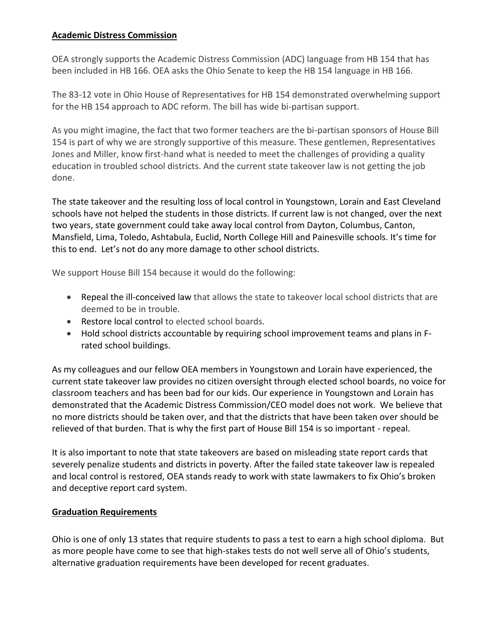### **Academic Distress Commission**

OEA strongly supports the Academic Distress Commission (ADC) language from HB 154 that has been included in HB 166. OEA asks the Ohio Senate to keep the HB 154 language in HB 166.

The 83-12 vote in Ohio House of Representatives for HB 154 demonstrated overwhelming support for the HB 154 approach to ADC reform. The bill has wide bi-partisan support.

As you might imagine, the fact that two former teachers are the bi-partisan sponsors of House Bill 154 is part of why we are strongly supportive of this measure. These gentlemen, Representatives Jones and Miller, know first-hand what is needed to meet the challenges of providing a quality education in troubled school districts. And the current state takeover law is not getting the job done.

The state takeover and the resulting loss of local control in Youngstown, Lorain and East Cleveland schools have not helped the students in those districts. If current law is not changed, over the next two years, state government could take away local control from Dayton, Columbus, Canton, Mansfield, Lima, Toledo, Ashtabula, Euclid, North College Hill and Painesville schools. It's time for this to end. Let's not do any more damage to other school districts.

We support House Bill 154 because it would do the following:

- Repeal the ill-conceived law that allows the state to takeover local school districts that are deemed to be in trouble.
- Restore local control to elected school boards.
- Hold school districts accountable by requiring school improvement teams and plans in Frated school buildings.

As my colleagues and our fellow OEA members in Youngstown and Lorain have experienced, the current state takeover law provides no citizen oversight through elected school boards, no voice for classroom teachers and has been bad for our kids. Our experience in Youngstown and Lorain has demonstrated that the Academic Distress Commission/CEO model does not work. We believe that no more districts should be taken over, and that the districts that have been taken over should be relieved of that burden. That is why the first part of House Bill 154 is so important - repeal.

It is also important to note that state takeovers are based on misleading state report cards that severely penalize students and districts in poverty. After the failed state takeover law is repealed and local control is restored, OEA stands ready to work with state lawmakers to fix Ohio's broken and deceptive report card system.

#### **Graduation Requirements**

Ohio is one of only 13 states that require students to pass a test to earn a high school diploma. But as more people have come to see that high-stakes tests do not well serve all of Ohio's students, alternative graduation requirements have been developed for recent graduates.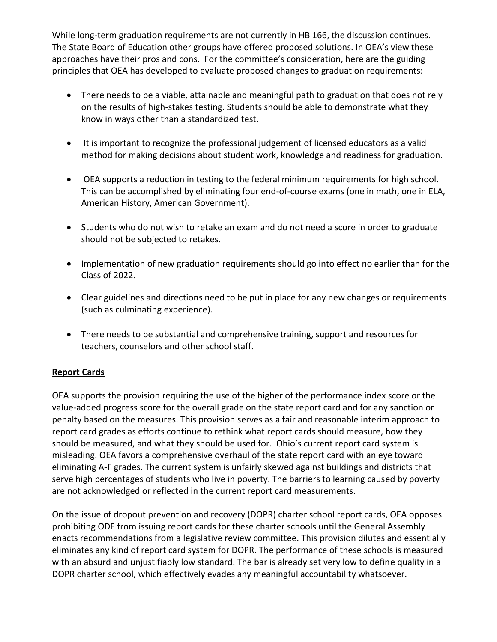While long-term graduation requirements are not currently in HB 166, the discussion continues. The State Board of Education other groups have offered proposed solutions. In OEA's view these approaches have their pros and cons. For the committee's consideration, here are the guiding principles that OEA has developed to evaluate proposed changes to graduation requirements:

- There needs to be a viable, attainable and meaningful path to graduation that does not rely on the results of high-stakes testing. Students should be able to demonstrate what they know in ways other than a standardized test.
- It is important to recognize the professional judgement of licensed educators as a valid method for making decisions about student work, knowledge and readiness for graduation.
- OEA supports a reduction in testing to the federal minimum requirements for high school. This can be accomplished by eliminating four end-of-course exams (one in math, one in ELA, American History, American Government).
- Students who do not wish to retake an exam and do not need a score in order to graduate should not be subjected to retakes.
- Implementation of new graduation requirements should go into effect no earlier than for the Class of 2022.
- Clear guidelines and directions need to be put in place for any new changes or requirements (such as culminating experience).
- There needs to be substantial and comprehensive training, support and resources for teachers, counselors and other school staff.

### **Report Cards**

OEA supports the provision requiring the use of the higher of the performance index score or the value-added progress score for the overall grade on the state report card and for any sanction or penalty based on the measures. This provision serves as a fair and reasonable interim approach to report card grades as efforts continue to rethink what report cards should measure, how they should be measured, and what they should be used for. Ohio's current report card system is misleading. OEA favors a comprehensive overhaul of the state report card with an eye toward eliminating A-F grades. The current system is unfairly skewed against buildings and districts that serve high percentages of students who live in poverty. The barriers to learning caused by poverty are not acknowledged or reflected in the current report card measurements.

On the issue of dropout prevention and recovery (DOPR) charter school report cards, OEA opposes prohibiting ODE from issuing report cards for these charter schools until the General Assembly enacts recommendations from a legislative review committee. This provision dilutes and essentially eliminates any kind of report card system for DOPR. The performance of these schools is measured with an absurd and unjustifiably low standard. The bar is already set very low to define quality in a DOPR charter school, which effectively evades any meaningful accountability whatsoever.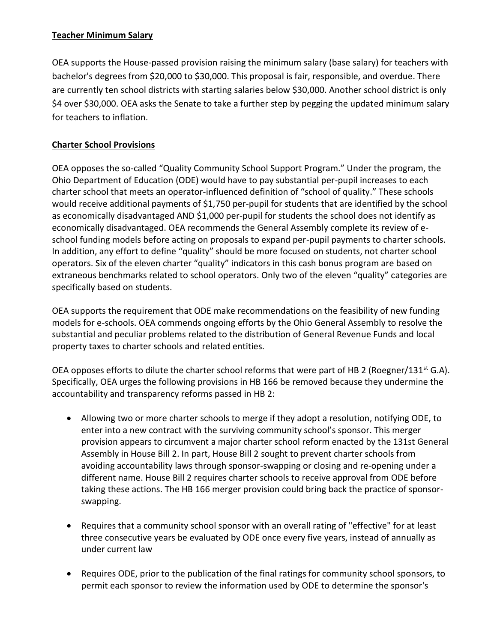# **Teacher Minimum Salary**

OEA supports the House-passed provision raising the minimum salary (base salary) for teachers with bachelor's degrees from \$20,000 to \$30,000. This proposal is fair, responsible, and overdue. There are currently ten school districts with starting salaries below \$30,000. Another school district is only \$4 over \$30,000. OEA asks the Senate to take a further step by pegging the updated minimum salary for teachers to inflation.

# **Charter School Provisions**

OEA opposes the so-called "Quality Community School Support Program." Under the program, the Ohio Department of Education (ODE) would have to pay substantial per-pupil increases to each charter school that meets an operator-influenced definition of "school of quality." These schools would receive additional payments of \$1,750 per-pupil for students that are identified by the school as economically disadvantaged AND \$1,000 per-pupil for students the school does not identify as economically disadvantaged. OEA recommends the General Assembly complete its review of eschool funding models before acting on proposals to expand per-pupil payments to charter schools. In addition, any effort to define "quality" should be more focused on students, not charter school operators. Six of the eleven charter "quality" indicators in this cash bonus program are based on extraneous benchmarks related to school operators. Only two of the eleven "quality" categories are specifically based on students.

OEA supports the requirement that ODE make recommendations on the feasibility of new funding models for e-schools. OEA commends ongoing efforts by the Ohio General Assembly to resolve the substantial and peculiar problems related to the distribution of General Revenue Funds and local property taxes to charter schools and related entities.

OEA opposes efforts to dilute the charter school reforms that were part of HB 2 (Roegner/131<sup>st</sup> G.A). Specifically, OEA urges the following provisions in HB 166 be removed because they undermine the accountability and transparency reforms passed in HB 2:

- Allowing two or more charter schools to merge if they adopt a resolution, notifying ODE, to enter into a new contract with the surviving community school's sponsor. This merger provision appears to circumvent a major charter school reform enacted by the 131st General Assembly in House Bill 2. In part, House Bill 2 sought to prevent charter schools from avoiding accountability laws through sponsor-swapping or closing and re-opening under a different name. House Bill 2 requires charter schools to receive approval from ODE before taking these actions. The HB 166 merger provision could bring back the practice of sponsorswapping.
- Requires that a community school sponsor with an overall rating of "effective" for at least three consecutive years be evaluated by ODE once every five years, instead of annually as under current law
- Requires ODE, prior to the publication of the final ratings for community school sponsors, to permit each sponsor to review the information used by ODE to determine the sponsor's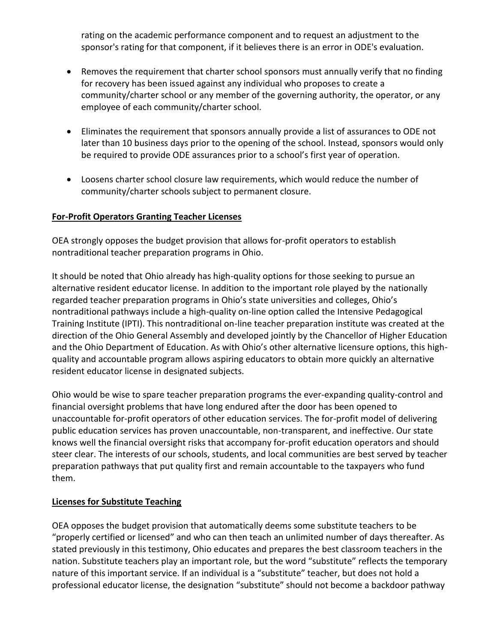rating on the academic performance component and to request an adjustment to the sponsor's rating for that component, if it believes there is an error in ODE's evaluation.

- Removes the requirement that charter school sponsors must annually verify that no finding for recovery has been issued against any individual who proposes to create a community/charter school or any member of the governing authority, the operator, or any employee of each community/charter school.
- Eliminates the requirement that sponsors annually provide a list of assurances to ODE not later than 10 business days prior to the opening of the school. Instead, sponsors would only be required to provide ODE assurances prior to a school's first year of operation.
- Loosens charter school closure law requirements, which would reduce the number of community/charter schools subject to permanent closure.

### **For-Profit Operators Granting Teacher Licenses**

OEA strongly opposes the budget provision that allows for-profit operators to establish nontraditional teacher preparation programs in Ohio.

It should be noted that Ohio already has high-quality options for those seeking to pursue an alternative resident educator license. In addition to the important role played by the nationally regarded teacher preparation programs in Ohio's state universities and colleges, Ohio's nontraditional pathways include a high-quality on-line option called the Intensive Pedagogical Training Institute (IPTI). This nontraditional on-line teacher preparation institute was created at the direction of the Ohio General Assembly and developed jointly by the Chancellor of Higher Education and the Ohio Department of Education. As with Ohio's other alternative licensure options, this highquality and accountable program allows aspiring educators to obtain more quickly an alternative resident educator license in designated subjects.

Ohio would be wise to spare teacher preparation programs the ever-expanding quality-control and financial oversight problems that have long endured after the door has been opened to unaccountable for-profit operators of other education services. The for-profit model of delivering public education services has proven unaccountable, non-transparent, and ineffective. Our state knows well the financial oversight risks that accompany for-profit education operators and should steer clear. The interests of our schools, students, and local communities are best served by teacher preparation pathways that put quality first and remain accountable to the taxpayers who fund them.

#### **Licenses for Substitute Teaching**

OEA opposes the budget provision that automatically deems some substitute teachers to be "properly certified or licensed" and who can then teach an unlimited number of days thereafter. As stated previously in this testimony, Ohio educates and prepares the best classroom teachers in the nation. Substitute teachers play an important role, but the word "substitute" reflects the temporary nature of this important service. If an individual is a "substitute" teacher, but does not hold a professional educator license, the designation "substitute" should not become a backdoor pathway